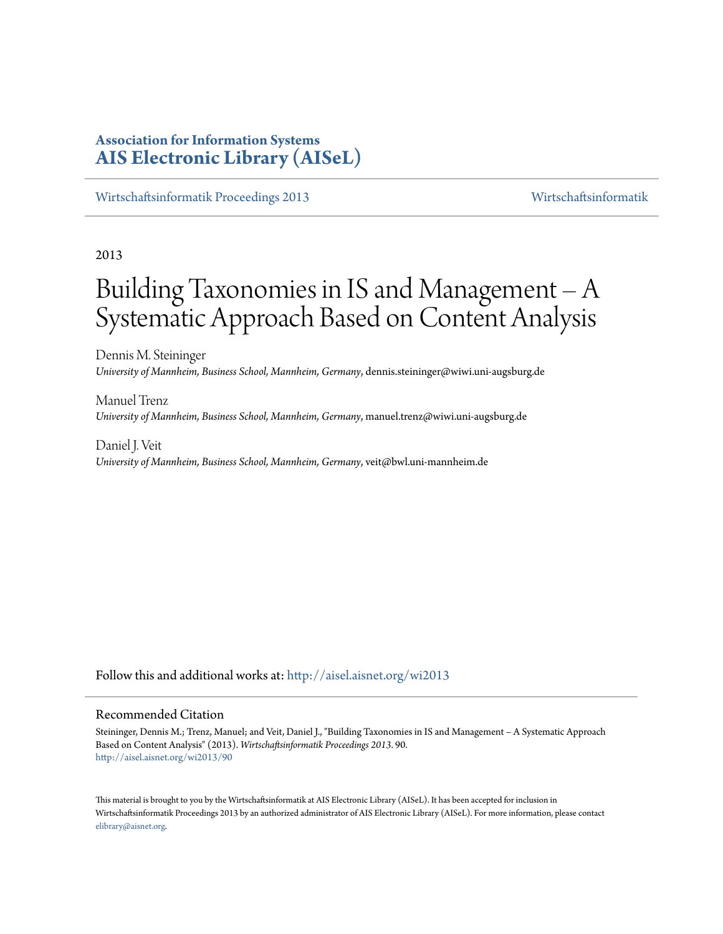# **Association for Information Systems [AIS Electronic Library \(AISeL\)](http://aisel.aisnet.org?utm_source=aisel.aisnet.org%2Fwi2013%2F90&utm_medium=PDF&utm_campaign=PDFCoverPages)**

[Wirtschaftsinformatik Proceedings 2013](http://aisel.aisnet.org/wi2013?utm_source=aisel.aisnet.org%2Fwi2013%2F90&utm_medium=PDF&utm_campaign=PDFCoverPages) [Wirtschaftsinformatik](http://aisel.aisnet.org/wi?utm_source=aisel.aisnet.org%2Fwi2013%2F90&utm_medium=PDF&utm_campaign=PDFCoverPages)

# 2013

# Building Taxonomies in IS and Management – A Systematic Approach Based on Content Analysis

Dennis M. Steininger *University of Mannheim, Business School, Mannheim, Germany*, dennis.steininger@wiwi.uni-augsburg.de

Manuel Trenz *University of Mannheim, Business School, Mannheim, Germany*, manuel.trenz@wiwi.uni-augsburg.de

Daniel J. Veit *University of Mannheim, Business School, Mannheim, Germany*, veit@bwl.uni-mannheim.de

Follow this and additional works at: [http://aisel.aisnet.org/wi2013](http://aisel.aisnet.org/wi2013?utm_source=aisel.aisnet.org%2Fwi2013%2F90&utm_medium=PDF&utm_campaign=PDFCoverPages)

#### Recommended Citation

Steininger, Dennis M.; Trenz, Manuel; and Veit, Daniel J., "Building Taxonomies in IS and Management – A Systematic Approach Based on Content Analysis" (2013). *Wirtschaftsinformatik Proceedings 2013*. 90. [http://aisel.aisnet.org/wi2013/90](http://aisel.aisnet.org/wi2013/90?utm_source=aisel.aisnet.org%2Fwi2013%2F90&utm_medium=PDF&utm_campaign=PDFCoverPages)

This material is brought to you by the Wirtschaftsinformatik at AIS Electronic Library (AISeL). It has been accepted for inclusion in Wirtschaftsinformatik Proceedings 2013 by an authorized administrator of AIS Electronic Library (AISeL). For more information, please contact [elibrary@aisnet.org.](mailto:elibrary@aisnet.org%3E)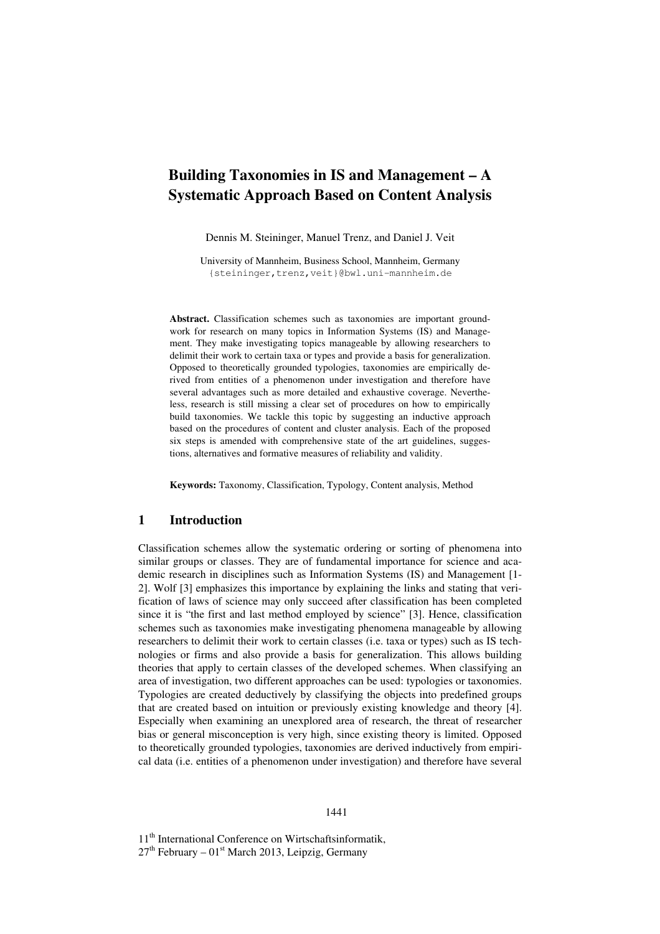# **Building Taxonomies in IS and Management – A Systematic Approach Based on Content Analysis**

Dennis M. Steininger, Manuel Trenz, and Daniel J. Veit

University of Mannheim, Business School, Mannheim, Germany {steininger,trenz,veit}@bwl.uni-mannheim.de

**Abstract.** Classification schemes such as taxonomies are important groundwork for research on many topics in Information Systems (IS) and Management. They make investigating topics manageable by allowing researchers to delimit their work to certain taxa or types and provide a basis for generalization. Opposed to theoretically grounded typologies, taxonomies are empirically derived from entities of a phenomenon under investigation and therefore have several advantages such as more detailed and exhaustive coverage. Nevertheless, research is still missing a clear set of procedures on how to empirically build taxonomies. We tackle this topic by suggesting an inductive approach based on the procedures of content and cluster analysis. Each of the proposed six steps is amended with comprehensive state of the art guidelines, suggestions, alternatives and formative measures of reliability and validity.

**Keywords:** Taxonomy, Classification, Typology, Content analysis, Method

### **1 Introduction**

Classification schemes allow the systematic ordering or sorting of phenomena into similar groups or classes. They are of fundamental importance for science and academic research in disciplines such as Information Systems (IS) and Management [1- 2]. Wolf [3] emphasizes this importance by explaining the links and stating that verification of laws of science may only succeed after classification has been completed since it is "the first and last method employed by science" [3]. Hence, classification schemes such as taxonomies make investigating phenomena manageable by allowing researchers to delimit their work to certain classes (i.e. taxa or types) such as IS technologies or firms and also provide a basis for generalization. This allows building theories that apply to certain classes of the developed schemes. When classifying an area of investigation, two different approaches can be used: typologies or taxonomies. Typologies are created deductively by classifying the objects into predefined groups that are created based on intuition or previously existing knowledge and theory [4]. Especially when examining an unexplored area of research, the threat of researcher bias or general misconception is very high, since existing theory is limited. Opposed to theoretically grounded typologies, taxonomies are derived inductively from empirical data (i.e. entities of a phenomenon under investigation) and therefore have several

11<sup>th</sup> International Conference on Wirtschaftsinformatik,  $27<sup>th</sup>$  February –  $01<sup>st</sup>$  March 2013, Leipzig, Germany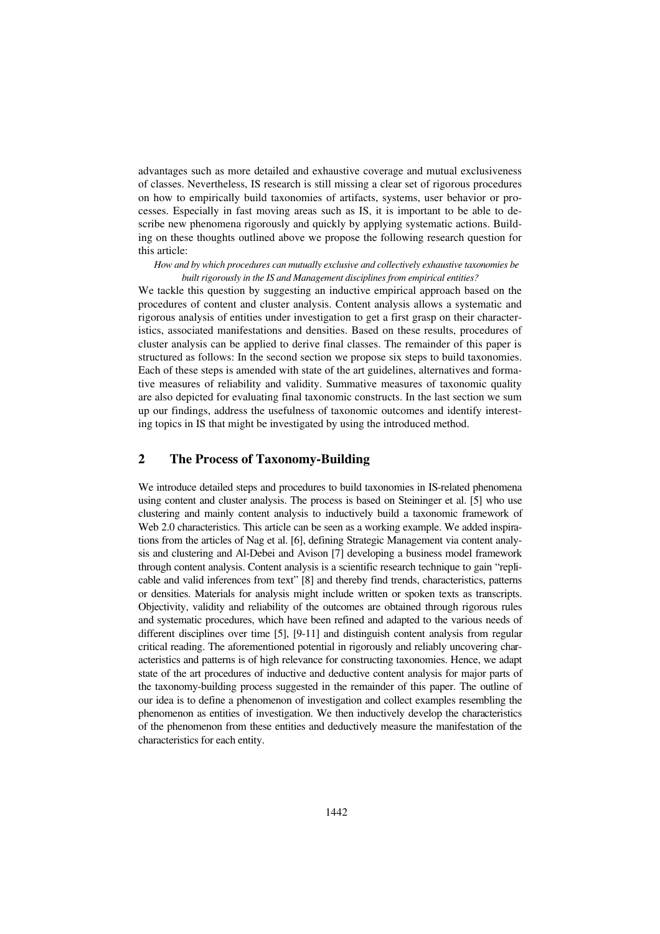advantages such as more detailed and exhaustive coverage and mutual exclusiveness of classes. Nevertheless, IS research is still missing a clear set of rigorous procedures on how to empirically build taxonomies of artifacts, systems, user behavior or processes. Especially in fast moving areas such as IS, it is important to be able to describe new phenomena rigorously and quickly by applying systematic actions. Building on these thoughts outlined above we propose the following research question for this article:

#### *How and by which procedures can mutually exclusive and collectively exhaustive taxonomies be built rigorously in the IS and Management disciplines from empirical entities?*

We tackle this question by suggesting an inductive empirical approach based on the procedures of content and cluster analysis. Content analysis allows a systematic and rigorous analysis of entities under investigation to get a first grasp on their characteristics, associated manifestations and densities. Based on these results, procedures of cluster analysis can be applied to derive final classes. The remainder of this paper is structured as follows: In the second section we propose six steps to build taxonomies. Each of these steps is amended with state of the art guidelines, alternatives and formative measures of reliability and validity. Summative measures of taxonomic quality are also depicted for evaluating final taxonomic constructs. In the last section we sum up our findings, address the usefulness of taxonomic outcomes and identify interesting topics in IS that might be investigated by using the introduced method.

# **2 The Process of Taxonomy-Building**

We introduce detailed steps and procedures to build taxonomies in IS-related phenomena using content and cluster analysis. The process is based on Steininger et al. [5] who use clustering and mainly content analysis to inductively build a taxonomic framework of Web 2.0 characteristics. This article can be seen as a working example. We added inspirations from the articles of Nag et al. [6], defining Strategic Management via content analysis and clustering and Al-Debei and Avison [7] developing a business model framework through content analysis. Content analysis is a scientific research technique to gain "replicable and valid inferences from text" [8] and thereby find trends, characteristics, patterns or densities. Materials for analysis might include written or spoken texts as transcripts. Objectivity, validity and reliability of the outcomes are obtained through rigorous rules and systematic procedures, which have been refined and adapted to the various needs of different disciplines over time [5], [9-11] and distinguish content analysis from regular critical reading. The aforementioned potential in rigorously and reliably uncovering characteristics and patterns is of high relevance for constructing taxonomies. Hence, we adapt state of the art procedures of inductive and deductive content analysis for major parts of the taxonomy-building process suggested in the remainder of this paper. The outline of our idea is to define a phenomenon of investigation and collect examples resembling the phenomenon as entities of investigation. We then inductively develop the characteristics of the phenomenon from these entities and deductively measure the manifestation of the characteristics for each entity.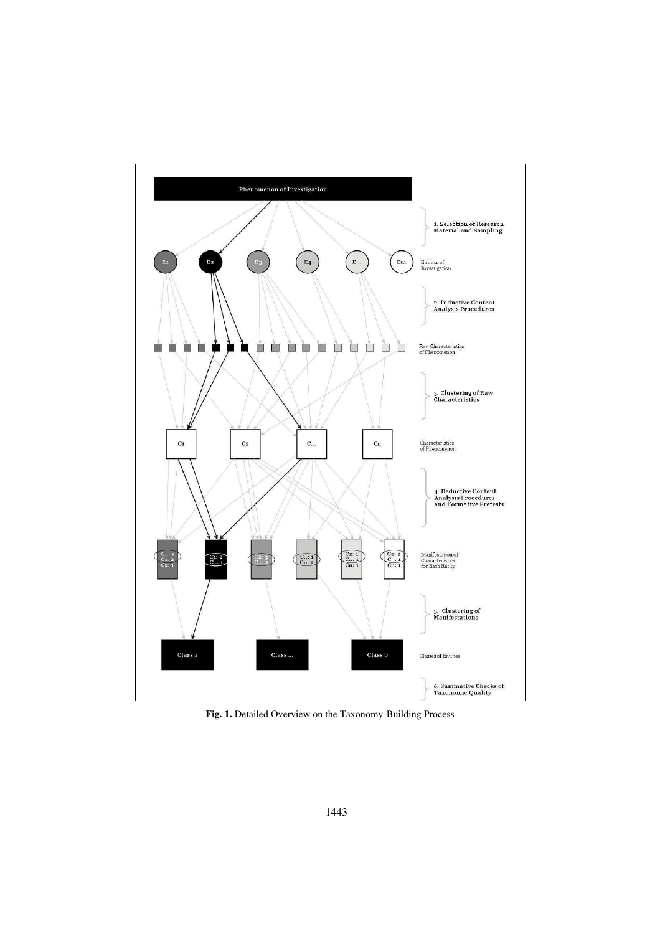

**Fig. 1.** Detailed Overview on the Taxonomy-Building Process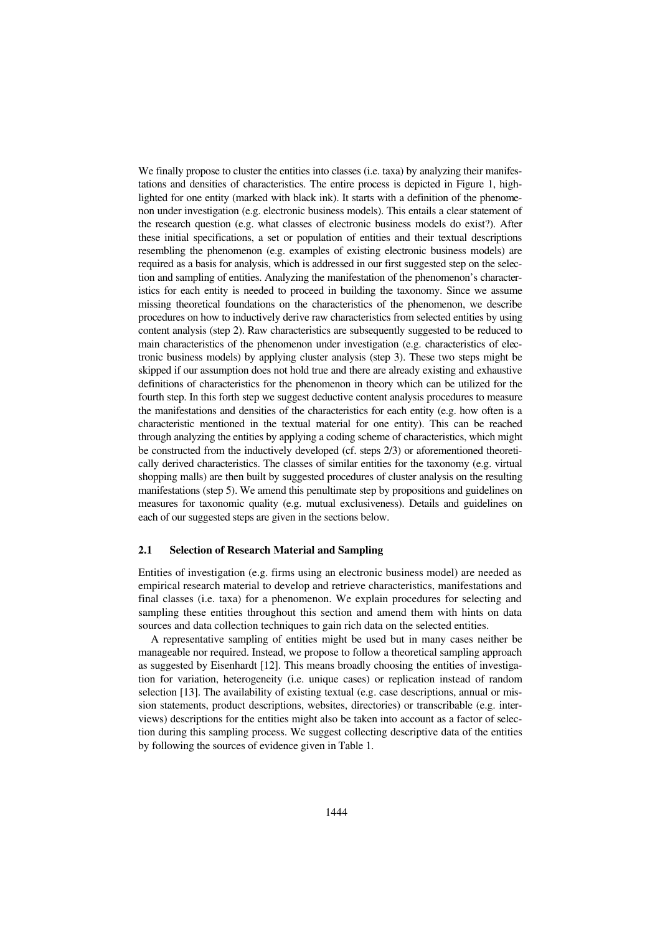We finally propose to cluster the entities into classes (i.e. taxa) by analyzing their manifestations and densities of characteristics. The entire process is depicted in Figure 1, highlighted for one entity (marked with black ink). It starts with a definition of the phenomenon under investigation (e.g. electronic business models). This entails a clear statement of the research question (e.g. what classes of electronic business models do exist?). After these initial specifications, a set or population of entities and their textual descriptions resembling the phenomenon (e.g. examples of existing electronic business models) are required as a basis for analysis, which is addressed in our first suggested step on the selection and sampling of entities. Analyzing the manifestation of the phenomenon's characteristics for each entity is needed to proceed in building the taxonomy. Since we assume missing theoretical foundations on the characteristics of the phenomenon, we describe procedures on how to inductively derive raw characteristics from selected entities by using content analysis (step 2). Raw characteristics are subsequently suggested to be reduced to main characteristics of the phenomenon under investigation (e.g. characteristics of electronic business models) by applying cluster analysis (step 3). These two steps might be skipped if our assumption does not hold true and there are already existing and exhaustive definitions of characteristics for the phenomenon in theory which can be utilized for the fourth step. In this forth step we suggest deductive content analysis procedures to measure the manifestations and densities of the characteristics for each entity (e.g. how often is a characteristic mentioned in the textual material for one entity). This can be reached through analyzing the entities by applying a coding scheme of characteristics, which might be constructed from the inductively developed (cf. steps 2/3) or aforementioned theoretically derived characteristics. The classes of similar entities for the taxonomy (e.g. virtual shopping malls) are then built by suggested procedures of cluster analysis on the resulting manifestations (step 5). We amend this penultimate step by propositions and guidelines on measures for taxonomic quality (e.g. mutual exclusiveness). Details and guidelines on each of our suggested steps are given in the sections below.

#### **2.1 Selection of Research Material and Sampling**

Entities of investigation (e.g. firms using an electronic business model) are needed as empirical research material to develop and retrieve characteristics, manifestations and final classes (i.e. taxa) for a phenomenon. We explain procedures for selecting and sampling these entities throughout this section and amend them with hints on data sources and data collection techniques to gain rich data on the selected entities.

A representative sampling of entities might be used but in many cases neither be manageable nor required. Instead, we propose to follow a theoretical sampling approach as suggested by Eisenhardt [12]. This means broadly choosing the entities of investigation for variation, heterogeneity (i.e. unique cases) or replication instead of random selection [13]. The availability of existing textual (e.g. case descriptions, annual or mission statements, product descriptions, websites, directories) or transcribable (e.g. interviews) descriptions for the entities might also be taken into account as a factor of selection during this sampling process. We suggest collecting descriptive data of the entities by following the sources of evidence given in Table 1.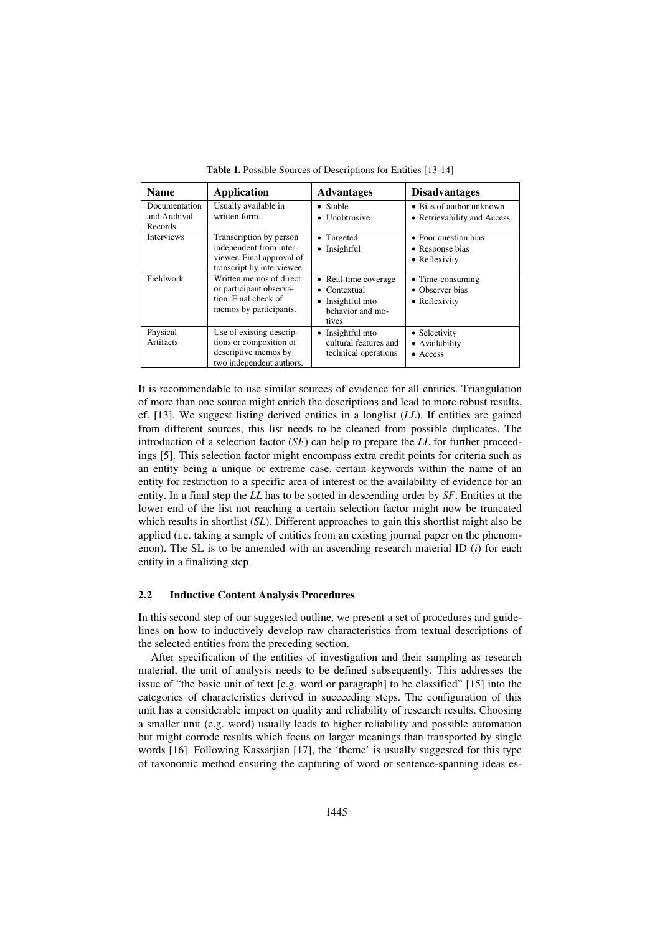| <b>Name</b>                              | Application                                                                                                   | <b>Advantages</b>                                                                                 | <b>Disadvantages</b>                                     |
|------------------------------------------|---------------------------------------------------------------------------------------------------------------|---------------------------------------------------------------------------------------------------|----------------------------------------------------------|
| Documentation<br>and Archival<br>Records | Usually available in<br>written form.                                                                         | • Stable<br>• Unobtrusive                                                                         | • Bias of author unknown<br>• Retrievability and Access  |
| Interviews                               | Transcription by person<br>independent from inter-<br>viewer. Final approval of<br>transcript by interviewee. | • Targeted<br>• Insightful                                                                        | • Poor question bias<br>• Response bias<br>• Reflexivity |
| Fieldwork                                | Written memos of direct<br>or participant observa-<br>tion. Final check of<br>memos by participants.          | • Real-time coverage<br>Contextual<br>$\bullet$<br>• Insightful into<br>behavior and mo-<br>tives | • Time-consuming<br>• Observer bias<br>• Reflexivity     |
| Physical<br>Artifacts                    | Use of existing descrip-<br>tions or composition of<br>descriptive memos by<br>two independent authors.       | Insightful into<br>٠<br>cultural features and<br>technical operations                             | • Selectivity<br>• Availability<br>$\bullet$ Access      |

**Table 1.** Possible Sources of Descriptions for Entities [13-14]

It is recommendable to use similar sources of evidence for all entities. Triangulation of more than one source might enrich the descriptions and lead to more robust results, cf. [13]. We suggest listing derived entities in a longlist (*LL*). If entities are gained from different sources, this list needs to be cleaned from possible duplicates. The introduction of a selection factor (*SF*) can help to prepare the *LL* for further proceedings [5]. This selection factor might encompass extra credit points for criteria such as an entity being a unique or extreme case, certain keywords within the name of an entity for restriction to a specific area of interest or the availability of evidence for an entity. In a final step the *LL* has to be sorted in descending order by *SF*. Entities at the lower end of the list not reaching a certain selection factor might now be truncated which results in shortlist *(SL)*. Different approaches to gain this shortlist might also be applied (i.e. taking a sample of entities from an existing journal paper on the phenomenon). The SL is to be amended with an ascending research material ID (*i*) for each entity in a finalizing step.

#### **2.2 Inductive Content Analysis Procedures**

In this second step of our suggested outline, we present a set of procedures and guidelines on how to inductively develop raw characteristics from textual descriptions of the selected entities from the preceding section.

After specification of the entities of investigation and their sampling as research material, the unit of analysis needs to be defined subsequently. This addresses the issue of "the basic unit of text [e.g. word or paragraph] to be classified" [15] into the categories of characteristics derived in succeeding steps. The configuration of this unit has a considerable impact on quality and reliability of research results. Choosing a smaller unit (e.g. word) usually leads to higher reliability and possible automation but might corrode results which focus on larger meanings than transported by single words [16]. Following Kassarjian [17], the 'theme' is usually suggested for this type of taxonomic method ensuring the capturing of word or sentence-spanning ideas es-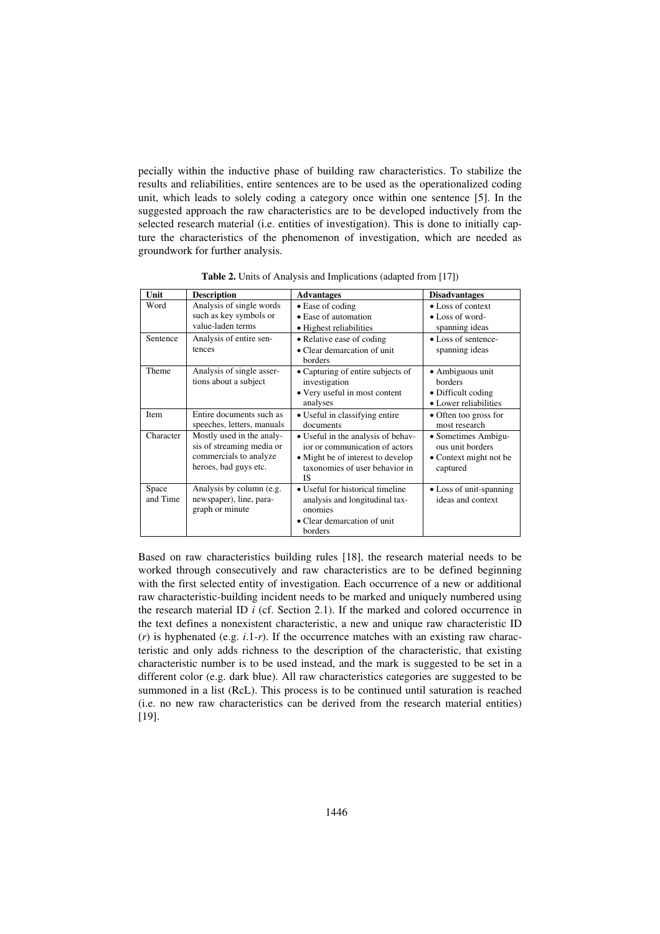pecially within the inductive phase of building raw characteristics. To stabilize the results and reliabilities, entire sentences are to be used as the operationalized coding unit, which leads to solely coding a category once within one sentence [5]. In the suggested approach the raw characteristics are to be developed inductively from the selected research material (i.e. entities of investigation). This is done to initially capture the characteristics of the phenomenon of investigation, which are needed as groundwork for further analysis.

| Unit              | <b>Description</b>                                                                                        | <b>Advantages</b>                                                                                                                                 | <b>Disadvantages</b>                                                              |
|-------------------|-----------------------------------------------------------------------------------------------------------|---------------------------------------------------------------------------------------------------------------------------------------------------|-----------------------------------------------------------------------------------|
| Word              | Analysis of single words<br>such as key symbols or<br>value-laden terms                                   | • Ease of coding<br>• Ease of automation<br>• Highest reliabilities                                                                               | • Loss of context<br>• Loss of word-<br>spanning ideas                            |
| Sentence          | Analysis of entire sen-<br>tences                                                                         | • Relative ease of coding<br>• Clear demarcation of unit<br>borders                                                                               | • Loss of sentence-<br>spanning ideas                                             |
| Theme             | Analysis of single asser-<br>tions about a subject                                                        | • Capturing of entire subjects of<br>investigation<br>• Very useful in most content<br>analyses                                                   | • Ambiguous unit<br><b>borders</b><br>• Difficult coding<br>• Lower reliabilities |
| Item              | Entire documents such as<br>speeches, letters, manuals                                                    | • Useful in classifying entire<br>documents                                                                                                       | • Often too gross for<br>most research                                            |
| Character         | Mostly used in the analy-<br>sis of streaming media or<br>commercials to analyze<br>heroes, bad guys etc. | • Useful in the analysis of behav-<br>ior or communication of actors<br>• Might be of interest to develop<br>taxonomies of user behavior in<br>IS | • Sometimes Ambigu-<br>ous unit borders<br>• Context might not be<br>captured     |
| Space<br>and Time | Analysis by column (e.g.<br>newspaper), line, para-<br>graph or minute                                    | • Useful for historical timeline<br>analysis and longitudinal tax-<br>onomies<br>• Clear demarcation of unit<br>borders                           | • Loss of unit-spanning<br>ideas and context                                      |

**Table 2.** Units of Analysis and Implications (adapted from [17])

Based on raw characteristics building rules [18], the research material needs to be worked through consecutively and raw characteristics are to be defined beginning with the first selected entity of investigation. Each occurrence of a new or additional raw characteristic-building incident needs to be marked and uniquely numbered using the research material ID *i* (cf. Section 2.1). If the marked and colored occurrence in the text defines a nonexistent characteristic, a new and unique raw characteristic ID (*r*) is hyphenated (e.g. *i*.1-*r*). If the occurrence matches with an existing raw characteristic and only adds richness to the description of the characteristic, that existing characteristic number is to be used instead, and the mark is suggested to be set in a different color (e.g. dark blue). All raw characteristics categories are suggested to be summoned in a list (RcL). This process is to be continued until saturation is reached (i.e. no new raw characteristics can be derived from the research material entities) [19].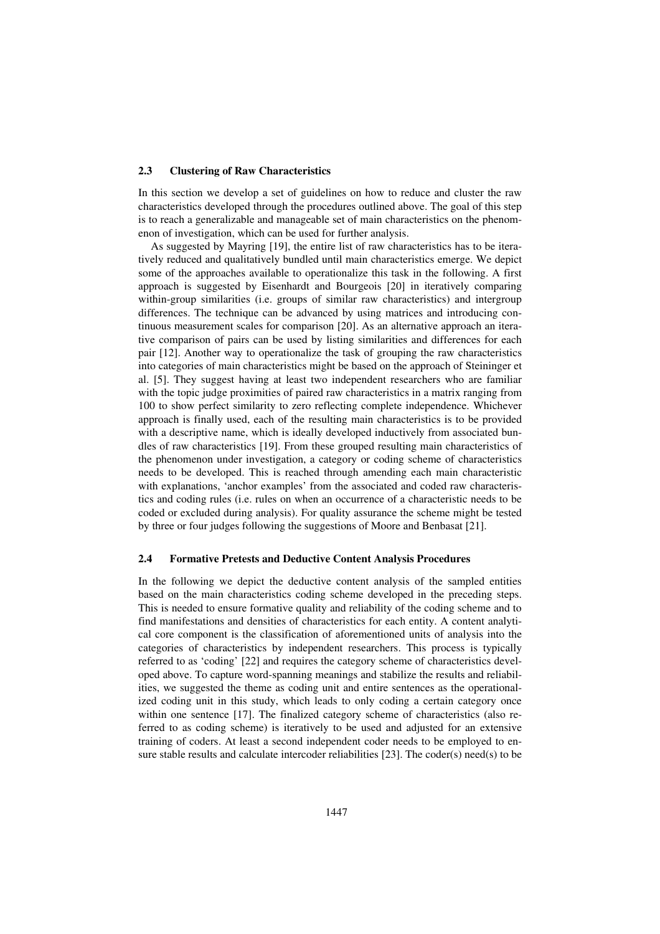#### **2.3 Clustering of Raw Characteristics**

In this section we develop a set of guidelines on how to reduce and cluster the raw characteristics developed through the procedures outlined above. The goal of this step is to reach a generalizable and manageable set of main characteristics on the phenomenon of investigation, which can be used for further analysis.

As suggested by Mayring [19], the entire list of raw characteristics has to be iteratively reduced and qualitatively bundled until main characteristics emerge. We depict some of the approaches available to operationalize this task in the following. A first approach is suggested by Eisenhardt and Bourgeois [20] in iteratively comparing within-group similarities (i.e. groups of similar raw characteristics) and intergroup differences. The technique can be advanced by using matrices and introducing continuous measurement scales for comparison [20]. As an alternative approach an iterative comparison of pairs can be used by listing similarities and differences for each pair [12]. Another way to operationalize the task of grouping the raw characteristics into categories of main characteristics might be based on the approach of Steininger et al. [5]. They suggest having at least two independent researchers who are familiar with the topic judge proximities of paired raw characteristics in a matrix ranging from 100 to show perfect similarity to zero reflecting complete independence. Whichever approach is finally used, each of the resulting main characteristics is to be provided with a descriptive name, which is ideally developed inductively from associated bundles of raw characteristics [19]. From these grouped resulting main characteristics of the phenomenon under investigation, a category or coding scheme of characteristics needs to be developed. This is reached through amending each main characteristic with explanations, 'anchor examples' from the associated and coded raw characteristics and coding rules (i.e. rules on when an occurrence of a characteristic needs to be coded or excluded during analysis). For quality assurance the scheme might be tested by three or four judges following the suggestions of Moore and Benbasat [21].

#### **2.4 Formative Pretests and Deductive Content Analysis Procedures**

In the following we depict the deductive content analysis of the sampled entities based on the main characteristics coding scheme developed in the preceding steps. This is needed to ensure formative quality and reliability of the coding scheme and to find manifestations and densities of characteristics for each entity. A content analytical core component is the classification of aforementioned units of analysis into the categories of characteristics by independent researchers. This process is typically referred to as 'coding' [22] and requires the category scheme of characteristics developed above. To capture word-spanning meanings and stabilize the results and reliabilities, we suggested the theme as coding unit and entire sentences as the operationalized coding unit in this study, which leads to only coding a certain category once within one sentence [17]. The finalized category scheme of characteristics (also referred to as coding scheme) is iteratively to be used and adjusted for an extensive training of coders. At least a second independent coder needs to be employed to ensure stable results and calculate intercoder reliabilities [23]. The coder(s) need(s) to be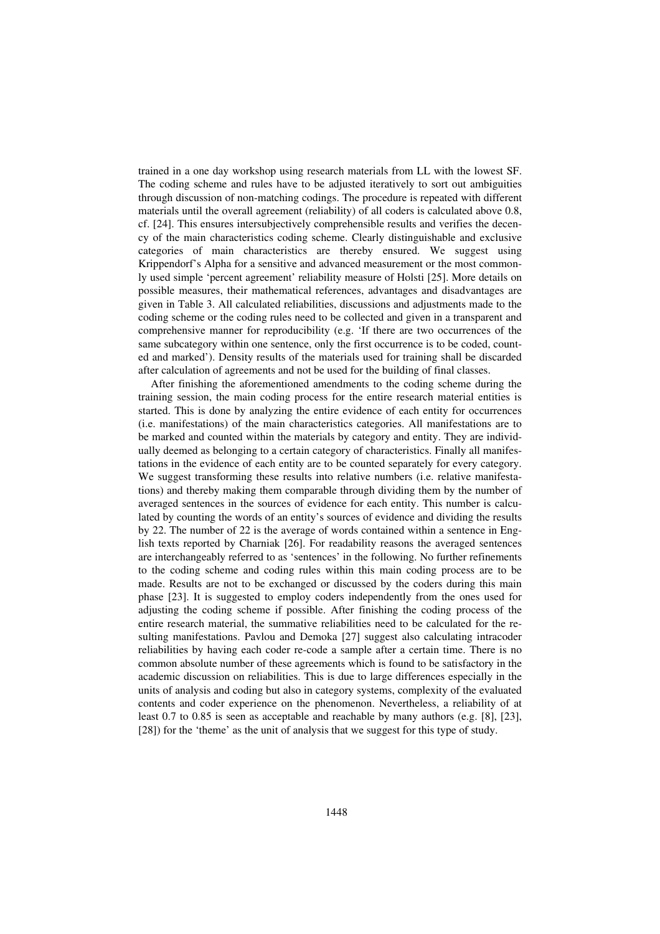trained in a one day workshop using research materials from LL with the lowest SF. The coding scheme and rules have to be adjusted iteratively to sort out ambiguities through discussion of non-matching codings. The procedure is repeated with different materials until the overall agreement (reliability) of all coders is calculated above 0.8, cf. [24]. This ensures intersubjectively comprehensible results and verifies the decency of the main characteristics coding scheme. Clearly distinguishable and exclusive categories of main characteristics are thereby ensured. We suggest using Krippendorf's Alpha for a sensitive and advanced measurement or the most commonly used simple 'percent agreement' reliability measure of Holsti [25]. More details on possible measures, their mathematical references, advantages and disadvantages are given in Table 3. All calculated reliabilities, discussions and adjustments made to the coding scheme or the coding rules need to be collected and given in a transparent and comprehensive manner for reproducibility (e.g. 'If there are two occurrences of the same subcategory within one sentence, only the first occurrence is to be coded, counted and marked'). Density results of the materials used for training shall be discarded after calculation of agreements and not be used for the building of final classes.

After finishing the aforementioned amendments to the coding scheme during the training session, the main coding process for the entire research material entities is started. This is done by analyzing the entire evidence of each entity for occurrences (i.e. manifestations) of the main characteristics categories. All manifestations are to be marked and counted within the materials by category and entity. They are individually deemed as belonging to a certain category of characteristics. Finally all manifestations in the evidence of each entity are to be counted separately for every category. We suggest transforming these results into relative numbers (i.e. relative manifestations) and thereby making them comparable through dividing them by the number of averaged sentences in the sources of evidence for each entity. This number is calculated by counting the words of an entity's sources of evidence and dividing the results by 22. The number of 22 is the average of words contained within a sentence in English texts reported by Charniak [26]. For readability reasons the averaged sentences are interchangeably referred to as 'sentences' in the following. No further refinements to the coding scheme and coding rules within this main coding process are to be made. Results are not to be exchanged or discussed by the coders during this main phase [23]. It is suggested to employ coders independently from the ones used for adjusting the coding scheme if possible. After finishing the coding process of the entire research material, the summative reliabilities need to be calculated for the resulting manifestations. Pavlou and Demoka [27] suggest also calculating intracoder reliabilities by having each coder re-code a sample after a certain time. There is no common absolute number of these agreements which is found to be satisfactory in the academic discussion on reliabilities. This is due to large differences especially in the units of analysis and coding but also in category systems, complexity of the evaluated contents and coder experience on the phenomenon. Nevertheless, a reliability of at least 0.7 to 0.85 is seen as acceptable and reachable by many authors (e.g. [8], [23], [28]) for the 'theme' as the unit of analysis that we suggest for this type of study.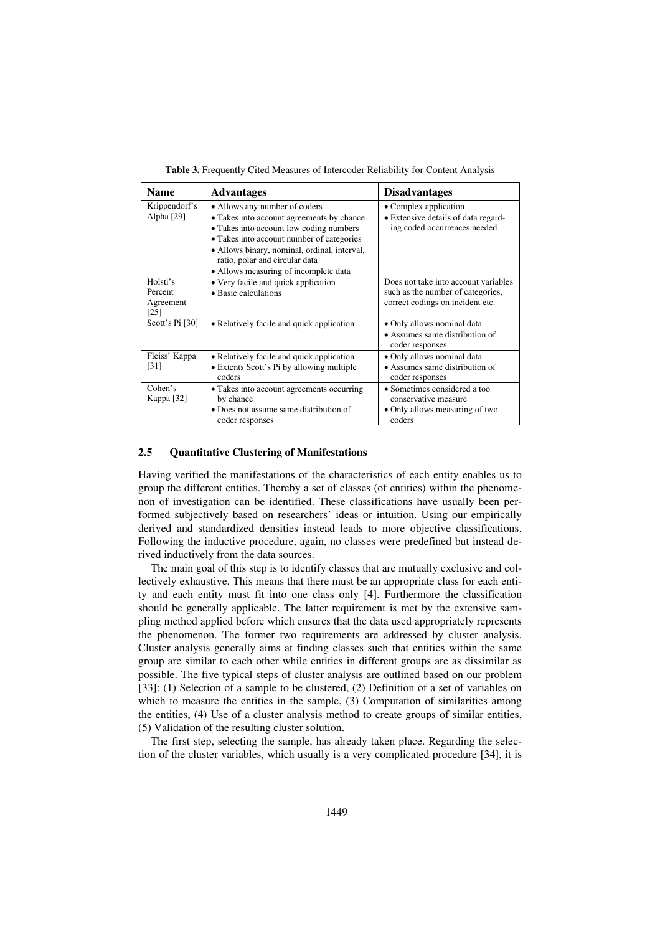| <b>Name</b>                              | <b>Advantages</b>                                                                                                                                                                                                                                                                             | <b>Disadvantages</b>                                                                                          |
|------------------------------------------|-----------------------------------------------------------------------------------------------------------------------------------------------------------------------------------------------------------------------------------------------------------------------------------------------|---------------------------------------------------------------------------------------------------------------|
| Krippendorf's<br>Alpha [29]              | • Allows any number of coders<br>• Takes into account agreements by chance<br>• Takes into account low coding numbers<br>• Takes into account number of categories<br>· Allows binary, nominal, ordinal, interval,<br>ratio, polar and circular data<br>• Allows measuring of incomplete data | • Complex application<br>• Extensive details of data regard-<br>ing coded occurrences needed                  |
| Holsti's<br>Percent<br>Agreement<br>[25] | • Very facile and quick application<br>• Basic calculations                                                                                                                                                                                                                                   | Does not take into account variables<br>such as the number of categories,<br>correct codings on incident etc. |
| Scott's Pi [30]                          | • Relatively facile and quick application                                                                                                                                                                                                                                                     | • Only allows nominal data<br>• Assumes same distribution of<br>coder responses                               |
| Fleiss' Kappa<br>[31]                    | • Relatively facile and quick application<br>• Extents Scott's Pi by allowing multiple<br>coders                                                                                                                                                                                              | • Only allows nominal data<br>• Assumes same distribution of<br>coder responses                               |
| Cohen's<br>Kappa $[32]$                  | • Takes into account agreements occurring<br>by chance<br>• Does not assume same distribution of<br>coder responses                                                                                                                                                                           | • Sometimes considered a too<br>conservative measure<br>• Only allows measuring of two<br>coders              |

**Table 3.** Frequently Cited Measures of Intercoder Reliability for Content Analysis

#### **2.5 Quantitative Clustering of Manifestations**

Having verified the manifestations of the characteristics of each entity enables us to group the different entities. Thereby a set of classes (of entities) within the phenomenon of investigation can be identified. These classifications have usually been performed subjectively based on researchers' ideas or intuition. Using our empirically derived and standardized densities instead leads to more objective classifications. Following the inductive procedure, again, no classes were predefined but instead derived inductively from the data sources.

The main goal of this step is to identify classes that are mutually exclusive and collectively exhaustive. This means that there must be an appropriate class for each entity and each entity must fit into one class only [4]. Furthermore the classification should be generally applicable. The latter requirement is met by the extensive sampling method applied before which ensures that the data used appropriately represents the phenomenon. The former two requirements are addressed by cluster analysis. Cluster analysis generally aims at finding classes such that entities within the same group are similar to each other while entities in different groups are as dissimilar as possible. The five typical steps of cluster analysis are outlined based on our problem [33]: (1) Selection of a sample to be clustered, (2) Definition of a set of variables on which to measure the entities in the sample, (3) Computation of similarities among the entities, (4) Use of a cluster analysis method to create groups of similar entities, (5) Validation of the resulting cluster solution.

The first step, selecting the sample, has already taken place. Regarding the selection of the cluster variables, which usually is a very complicated procedure [34], it is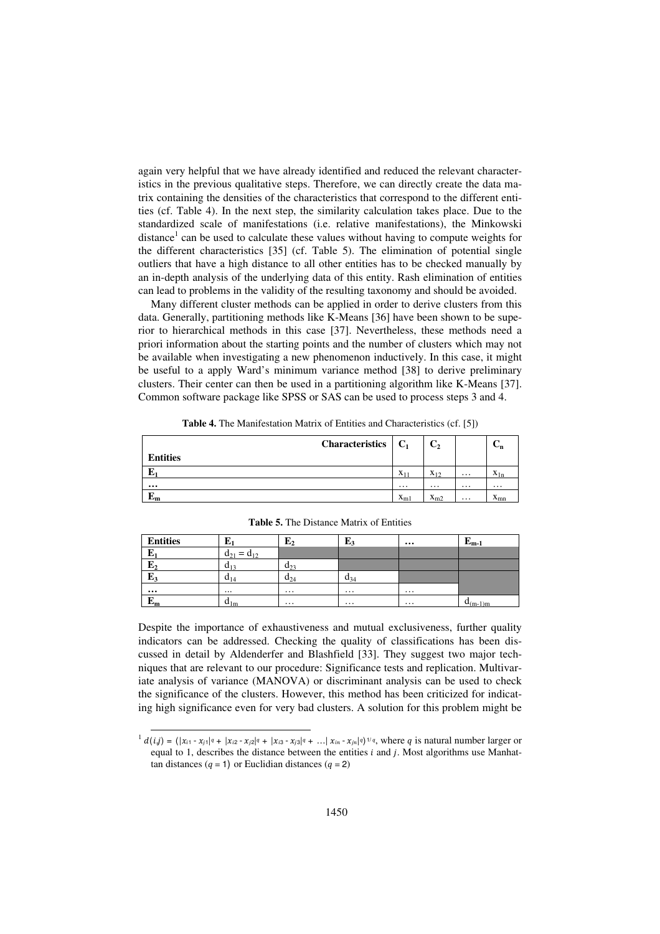again very helpful that we have already identified and reduced the relevant characteristics in the previous qualitative steps. Therefore, we can directly create the data matrix containing the densities of the characteristics that correspond to the different entities (cf. Table 4). In the next step, the similarity calculation takes place. Due to the standardized scale of manifestations (i.e. relative manifestations), the Minkowski distance<sup>1</sup> can be used to calculate these values without having to compute weights for the different characteristics [35] (cf. Table 5). The elimination of potential single outliers that have a high distance to all other entities has to be checked manually by an in-depth analysis of the underlying data of this entity. Rash elimination of entities can lead to problems in the validity of the resulting taxonomy and should be avoided.

Many different cluster methods can be applied in order to derive clusters from this data. Generally, partitioning methods like K-Means [36] have been shown to be superior to hierarchical methods in this case [37]. Nevertheless, these methods need a priori information about the starting points and the number of clusters which may not be available when investigating a new phenomenon inductively. In this case, it might be useful to a apply Ward's minimum variance method [38] to derive preliminary clusters. Their center can then be used in a partitioning algorithm like K-Means [37]. Common software package like SPSS or SAS can be used to process steps 3 and 4.

**Table 4.** The Manifestation Matrix of Entities and Characteristics (cf. [5])

|                 | <b>Characteristics</b> | $\mid$ C <sub>1</sub> | C <sub>2</sub>           |          | $\mathbf{v}_{\mathbf{n}}$ |
|-----------------|------------------------|-----------------------|--------------------------|----------|---------------------------|
| <b>Entities</b> |                        |                       |                          |          |                           |
| E.              |                        | $X_{11}$              | $\mathbf{v}$<br>$X_{12}$ | $\cdots$ | $\mathbf{v}$<br>$A_{1n}$  |
| $\cdots$        |                        | $\cdots$              | $\cdots$                 | $\cdots$ | $\cdots$                  |
| ю<br>ுற         |                        | $X_{m1}$              | $\mathbf{v}$<br>$x_{m2}$ | $\cdots$ | $\mathbf{v}$<br>$A_{mn}$  |

| <b>Entities</b> | ш                    | $E_2$    | L2       | $\cdots$ | г<br>$E_{m-1}$ |
|-----------------|----------------------|----------|----------|----------|----------------|
| ю<br>L1         | u۱<br>u <sub>2</sub> |          |          |          |                |
| г<br>Ľ2         | $u_{13}$             | $d_{23}$ |          |          |                |
| Б<br>Ľ4         | $\mathbf{u}_{14}$    | $a_{24}$ | $a_{34}$ |          |                |
| $\cdots$        |                      | $\cdots$ | $\cdots$ | $\cdots$ |                |
| Б<br>ւտ         | $a_{1m}$             | $\cdots$ | $\cdots$ | $\cdots$ | $u_{(m-1)m}$   |

**Table 5.** The Distance Matrix of Entities

Despite the importance of exhaustiveness and mutual exclusiveness, further quality indicators can be addressed. Checking the quality of classifications has been discussed in detail by Aldenderfer and Blashfield [33]. They suggest two major techniques that are relevant to our procedure: Significance tests and replication. Multivariate analysis of variance (MANOVA) or discriminant analysis can be used to check the significance of the clusters. However, this method has been criticized for indicating high significance even for very bad clusters. A solution for this problem might be

l

 $1 d(i,j) = (|x_{i1} - x_{i1}|^q + |x_{i2} - x_{i2}|^q + |x_{i3} - x_{i3}|^q + \dots |x_{in} - x_{in}|^q)^{1/q}$ , where q is natural number larger or equal to 1, describes the distance between the entities  $i$  and  $j$ . Most algorithms use Manhattan distances ( $q = 1$ ) or Euclidian distances ( $q = 2$ )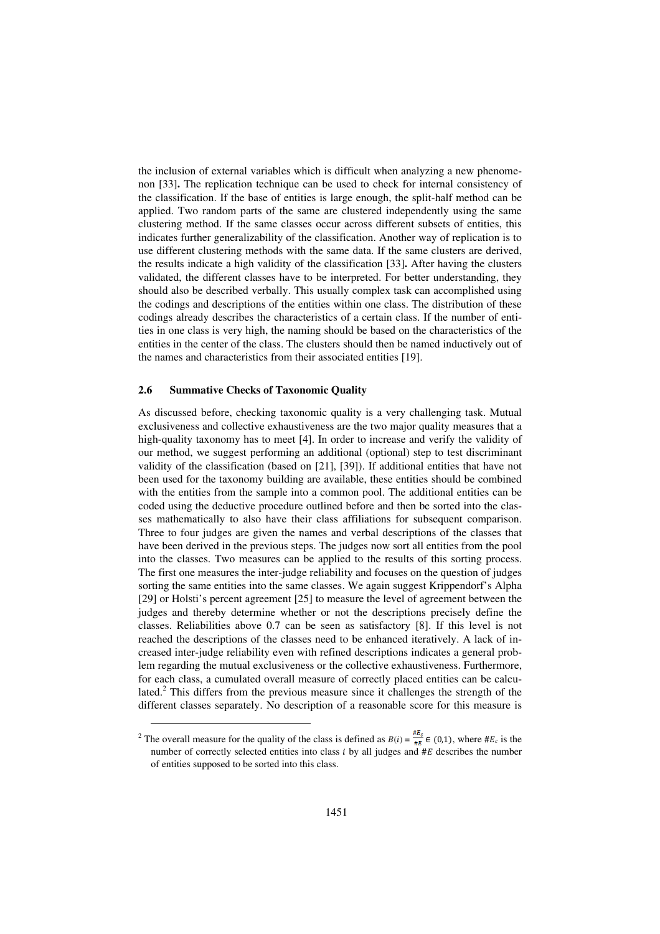the inclusion of external variables which is difficult when analyzing a new phenomenon [33]**.** The replication technique can be used to check for internal consistency of the classification. If the base of entities is large enough, the split-half method can be applied. Two random parts of the same are clustered independently using the same clustering method. If the same classes occur across different subsets of entities, this indicates further generalizability of the classification. Another way of replication is to use different clustering methods with the same data. If the same clusters are derived, the results indicate a high validity of the classification [33]**.** After having the clusters validated, the different classes have to be interpreted. For better understanding, they should also be described verbally. This usually complex task can accomplished using the codings and descriptions of the entities within one class. The distribution of these codings already describes the characteristics of a certain class. If the number of entities in one class is very high, the naming should be based on the characteristics of the entities in the center of the class. The clusters should then be named inductively out of the names and characteristics from their associated entities [19].

#### **2.6 Summative Checks of Taxonomic Quality**

l

As discussed before, checking taxonomic quality is a very challenging task. Mutual exclusiveness and collective exhaustiveness are the two major quality measures that a high-quality taxonomy has to meet [4]. In order to increase and verify the validity of our method, we suggest performing an additional (optional) step to test discriminant validity of the classification (based on [21], [39]). If additional entities that have not been used for the taxonomy building are available, these entities should be combined with the entities from the sample into a common pool. The additional entities can be coded using the deductive procedure outlined before and then be sorted into the classes mathematically to also have their class affiliations for subsequent comparison. Three to four judges are given the names and verbal descriptions of the classes that have been derived in the previous steps. The judges now sort all entities from the pool into the classes. Two measures can be applied to the results of this sorting process. The first one measures the inter-judge reliability and focuses on the question of judges sorting the same entities into the same classes. We again suggest Krippendorf's Alpha [29] or Holsti's percent agreement [25] to measure the level of agreement between the judges and thereby determine whether or not the descriptions precisely define the classes. Reliabilities above 0.7 can be seen as satisfactory [8]. If this level is not reached the descriptions of the classes need to be enhanced iteratively. A lack of increased inter-judge reliability even with refined descriptions indicates a general problem regarding the mutual exclusiveness or the collective exhaustiveness. Furthermore, for each class, a cumulated overall measure of correctly placed entities can be calculated. $<sup>2</sup>$  This differs from the previous measure since it challenges the strength of the</sup> different classes separately. No description of a reasonable score for this measure is

<sup>&</sup>lt;sup>2</sup> The overall measure for the quality of the class is defined as  $B(i) = \frac{\pi \omega_c}{\#E} \in (0,1)$ , where  $\#E_c$  is the number of correctly selected entities into class  $i$  by all judges and  $#E$  describes the number of entities supposed to be sorted into this class.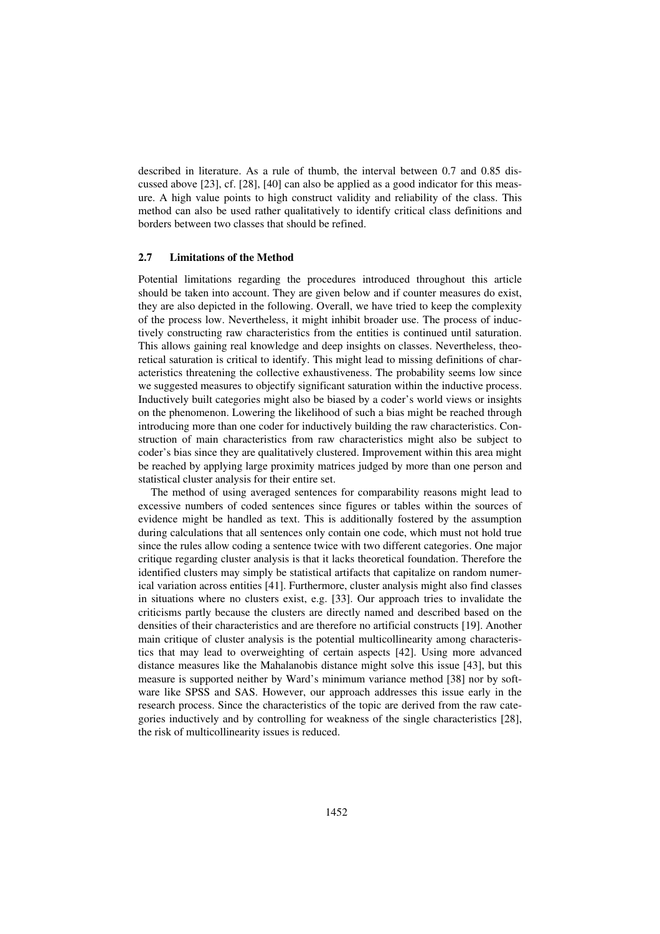described in literature. As a rule of thumb, the interval between 0.7 and 0.85 discussed above [23], cf. [28], [40] can also be applied as a good indicator for this measure. A high value points to high construct validity and reliability of the class. This method can also be used rather qualitatively to identify critical class definitions and borders between two classes that should be refined.

#### **2.7 Limitations of the Method**

Potential limitations regarding the procedures introduced throughout this article should be taken into account. They are given below and if counter measures do exist, they are also depicted in the following. Overall, we have tried to keep the complexity of the process low. Nevertheless, it might inhibit broader use. The process of inductively constructing raw characteristics from the entities is continued until saturation. This allows gaining real knowledge and deep insights on classes. Nevertheless, theoretical saturation is critical to identify. This might lead to missing definitions of characteristics threatening the collective exhaustiveness. The probability seems low since we suggested measures to objectify significant saturation within the inductive process. Inductively built categories might also be biased by a coder's world views or insights on the phenomenon. Lowering the likelihood of such a bias might be reached through introducing more than one coder for inductively building the raw characteristics. Construction of main characteristics from raw characteristics might also be subject to coder's bias since they are qualitatively clustered. Improvement within this area might be reached by applying large proximity matrices judged by more than one person and statistical cluster analysis for their entire set.

The method of using averaged sentences for comparability reasons might lead to excessive numbers of coded sentences since figures or tables within the sources of evidence might be handled as text. This is additionally fostered by the assumption during calculations that all sentences only contain one code, which must not hold true since the rules allow coding a sentence twice with two different categories. One major critique regarding cluster analysis is that it lacks theoretical foundation. Therefore the identified clusters may simply be statistical artifacts that capitalize on random numerical variation across entities [41]. Furthermore, cluster analysis might also find classes in situations where no clusters exist, e.g. [33]. Our approach tries to invalidate the criticisms partly because the clusters are directly named and described based on the densities of their characteristics and are therefore no artificial constructs [19]. Another main critique of cluster analysis is the potential multicollinearity among characteristics that may lead to overweighting of certain aspects [42]. Using more advanced distance measures like the Mahalanobis distance might solve this issue [43], but this measure is supported neither by Ward's minimum variance method [38] nor by software like SPSS and SAS. However, our approach addresses this issue early in the research process. Since the characteristics of the topic are derived from the raw categories inductively and by controlling for weakness of the single characteristics [28], the risk of multicollinearity issues is reduced.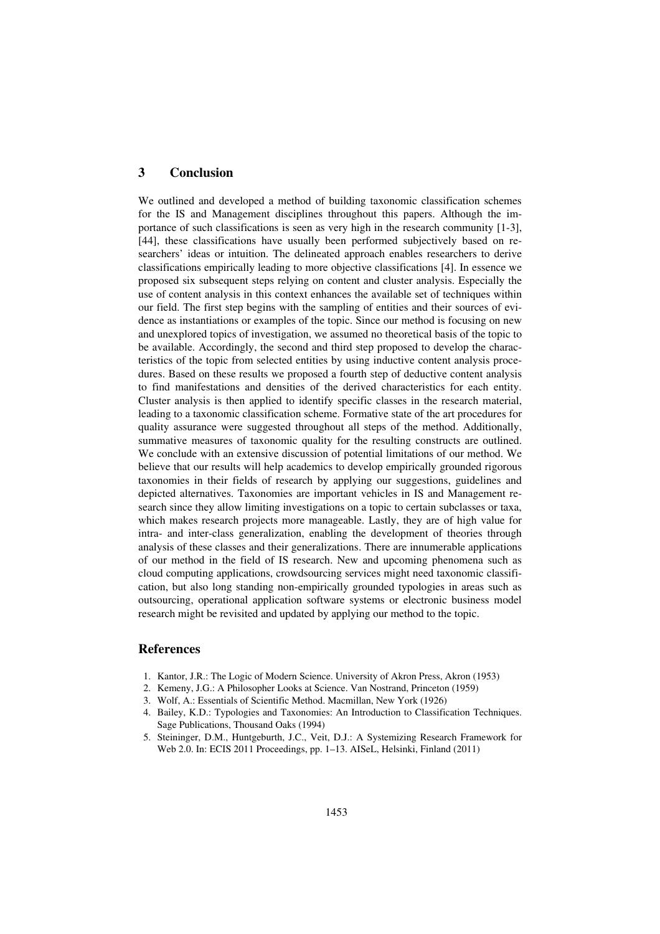## **3 Conclusion**

We outlined and developed a method of building taxonomic classification schemes for the IS and Management disciplines throughout this papers. Although the importance of such classifications is seen as very high in the research community [1-3], [44], these classifications have usually been performed subjectively based on researchers' ideas or intuition. The delineated approach enables researchers to derive classifications empirically leading to more objective classifications [4]. In essence we proposed six subsequent steps relying on content and cluster analysis. Especially the use of content analysis in this context enhances the available set of techniques within our field. The first step begins with the sampling of entities and their sources of evidence as instantiations or examples of the topic. Since our method is focusing on new and unexplored topics of investigation, we assumed no theoretical basis of the topic to be available. Accordingly, the second and third step proposed to develop the characteristics of the topic from selected entities by using inductive content analysis procedures. Based on these results we proposed a fourth step of deductive content analysis to find manifestations and densities of the derived characteristics for each entity. Cluster analysis is then applied to identify specific classes in the research material, leading to a taxonomic classification scheme. Formative state of the art procedures for quality assurance were suggested throughout all steps of the method. Additionally, summative measures of taxonomic quality for the resulting constructs are outlined. We conclude with an extensive discussion of potential limitations of our method. We believe that our results will help academics to develop empirically grounded rigorous taxonomies in their fields of research by applying our suggestions, guidelines and depicted alternatives. Taxonomies are important vehicles in IS and Management research since they allow limiting investigations on a topic to certain subclasses or taxa, which makes research projects more manageable. Lastly, they are of high value for intra- and inter-class generalization, enabling the development of theories through analysis of these classes and their generalizations. There are innumerable applications of our method in the field of IS research. New and upcoming phenomena such as cloud computing applications, crowdsourcing services might need taxonomic classification, but also long standing non-empirically grounded typologies in areas such as outsourcing, operational application software systems or electronic business model research might be revisited and updated by applying our method to the topic.

## **References**

- 1. Kantor, J.R.: The Logic of Modern Science. University of Akron Press, Akron (1953)
- 2. Kemeny, J.G.: A Philosopher Looks at Science. Van Nostrand, Princeton (1959)
- 3. Wolf, A.: Essentials of Scientific Method. Macmillan, New York (1926)
- 4. Bailey, K.D.: Typologies and Taxonomies: An Introduction to Classification Techniques. Sage Publications, Thousand Oaks (1994)
- 5. Steininger, D.M., Huntgeburth, J.C., Veit, D.J.: A Systemizing Research Framework for Web 2.0. In: ECIS 2011 Proceedings, pp. 1–13. AISeL, Helsinki, Finland (2011)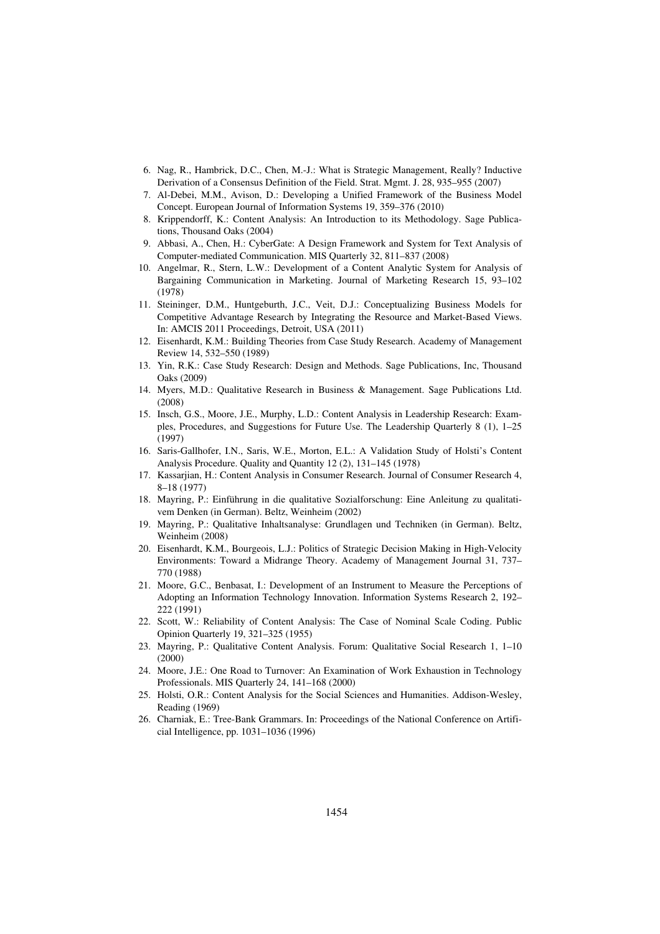- 6. Nag, R., Hambrick, D.C., Chen, M.-J.: What is Strategic Management, Really? Inductive Derivation of a Consensus Definition of the Field. Strat. Mgmt. J. 28, 935–955 (2007)
- 7. Al-Debei, M.M., Avison, D.: Developing a Unified Framework of the Business Model Concept. European Journal of Information Systems 19, 359–376 (2010)
- 8. Krippendorff, K.: Content Analysis: An Introduction to its Methodology. Sage Publications, Thousand Oaks (2004)
- 9. Abbasi, A., Chen, H.: CyberGate: A Design Framework and System for Text Analysis of Computer-mediated Communication. MIS Quarterly 32, 811–837 (2008)
- 10. Angelmar, R., Stern, L.W.: Development of a Content Analytic System for Analysis of Bargaining Communication in Marketing. Journal of Marketing Research 15, 93–102 (1978)
- 11. Steininger, D.M., Huntgeburth, J.C., Veit, D.J.: Conceptualizing Business Models for Competitive Advantage Research by Integrating the Resource and Market-Based Views. In: AMCIS 2011 Proceedings, Detroit, USA (2011)
- 12. Eisenhardt, K.M.: Building Theories from Case Study Research. Academy of Management Review 14, 532–550 (1989)
- 13. Yin, R.K.: Case Study Research: Design and Methods. Sage Publications, Inc, Thousand Oaks (2009)
- 14. Myers, M.D.: Qualitative Research in Business & Management. Sage Publications Ltd. (2008)
- 15. Insch, G.S., Moore, J.E., Murphy, L.D.: Content Analysis in Leadership Research: Examples, Procedures, and Suggestions for Future Use. The Leadership Quarterly 8 (1), 1–25 (1997)
- 16. Saris-Gallhofer, I.N., Saris, W.E., Morton, E.L.: A Validation Study of Holsti's Content Analysis Procedure. Quality and Quantity 12 (2), 131–145 (1978)
- 17. Kassarjian, H.: Content Analysis in Consumer Research. Journal of Consumer Research 4, 8–18 (1977)
- 18. Mayring, P.: Einführung in die qualitative Sozialforschung: Eine Anleitung zu qualitativem Denken (in German). Beltz, Weinheim (2002)
- 19. Mayring, P.: Qualitative Inhaltsanalyse: Grundlagen und Techniken (in German). Beltz, Weinheim (2008)
- 20. Eisenhardt, K.M., Bourgeois, L.J.: Politics of Strategic Decision Making in High-Velocity Environments: Toward a Midrange Theory. Academy of Management Journal 31, 737– 770 (1988)
- 21. Moore, G.C., Benbasat, I.: Development of an Instrument to Measure the Perceptions of Adopting an Information Technology Innovation. Information Systems Research 2, 192– 222 (1991)
- 22. Scott, W.: Reliability of Content Analysis: The Case of Nominal Scale Coding. Public Opinion Quarterly 19, 321–325 (1955)
- 23. Mayring, P.: Qualitative Content Analysis. Forum: Qualitative Social Research 1, 1–10 (2000)
- 24. Moore, J.E.: One Road to Turnover: An Examination of Work Exhaustion in Technology Professionals. MIS Quarterly 24, 141–168 (2000)
- 25. Holsti, O.R.: Content Analysis for the Social Sciences and Humanities. Addison-Wesley, Reading (1969)
- 26. Charniak, E.: Tree-Bank Grammars. In: Proceedings of the National Conference on Artificial Intelligence, pp. 1031–1036 (1996)